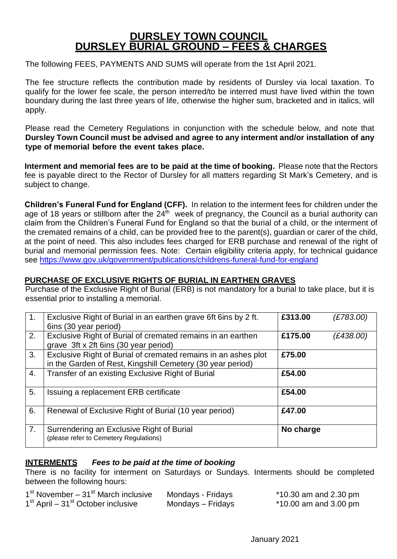## **DURSLEY TOWN COUNCIL DURSLEY BURIAL GROUND – FEES & CHARGES**

The following FEES, PAYMENTS AND SUMS will operate from the 1st April 2021.

The fee structure reflects the contribution made by residents of Dursley via local taxation. To qualify for the lower fee scale, the person interred/to be interred must have lived within the town boundary during the last three years of life, otherwise the higher sum, bracketed and in italics, will apply.

Please read the Cemetery Regulations in conjunction with the schedule below, and note that **Dursley Town Council must be advised and agree to any interment and/or installation of any type of memorial before the event takes place.** 

**Interment and memorial fees are to be paid at the time of booking.** Please note that the Rectors fee is payable direct to the Rector of Dursley for all matters regarding St Mark's Cemetery, and is subject to change.

**Children's Funeral Fund for England (CFF).** In relation to the interment fees for children under the age of 18 years or stillborn after the  $24<sup>th</sup>$  week of pregnancy, the Council as a burial authority can claim from the Children's Funeral Fund for England so that the burial of a child, or the interment of the cremated remains of a child, can be provided free to the parent(s), guardian or carer of the child, at the point of need. This also includes fees charged for ERB purchase and renewal of the right of burial and memorial permission fees. Note: Certain eligibility criteria apply, for technical guidance see<https://www.gov.uk/government/publications/childrens-funeral-fund-for-england>

## **PURCHASE OF EXCLUSIVE RIGHTS OF BURIAL IN EARTHEN GRAVES**

Purchase of the Exclusive Right of Burial (ERB) is not mandatory for a burial to take place, but it is essential prior to installing a memorial.

| 1. | Exclusive Right of Burial in an earthen grave 6ft 6ins by 2 ft.<br>6ins (30 year period)                                     | £313.00   | (£783.00) |
|----|------------------------------------------------------------------------------------------------------------------------------|-----------|-----------|
| 2. | Exclusive Right of Burial of cremated remains in an earthen<br>grave 3ft x 2ft 6ins (30 year period)                         | £175.00   | (E438.00) |
| 3. | Exclusive Right of Burial of cremated remains in an ashes plot<br>in the Garden of Rest, Kingshill Cemetery (30 year period) | £75.00    |           |
| 4. | Transfer of an existing Exclusive Right of Burial                                                                            | £54.00    |           |
| 5. | Issuing a replacement ERB certificate                                                                                        | £54.00    |           |
| 6. | Renewal of Exclusive Right of Burial (10 year period)                                                                        | £47.00    |           |
| 7. | Surrendering an Exclusive Right of Burial<br>(please refer to Cemetery Regulations)                                          | No charge |           |

### **INTERMENTS** *Fees to be paid at the time of booking*

There is no facility for interment on Saturdays or Sundays. Interments should be completed between the following hours:

| $1st$ November – $31st$ March inclusive          | Mondays - Fridays | $*$ 10.30 am and 2.30 pm |
|--------------------------------------------------|-------------------|--------------------------|
| $1st$ April – 31 <sup>st</sup> October inclusive | Mondays – Fridays | $*10.00$ am and 3.00 pm  |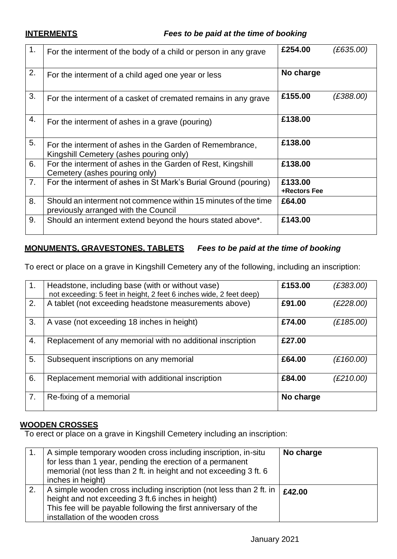| 1. | For the interment of the body of a child or person in any grave                                        | £254.00                 | (£635.00) |
|----|--------------------------------------------------------------------------------------------------------|-------------------------|-----------|
| 2. | For the interment of a child aged one year or less                                                     | No charge               |           |
| 3. | For the interment of a casket of cremated remains in any grave                                         | £155.00                 | (£388.00) |
| 4. | For the interment of ashes in a grave (pouring)                                                        | £138.00                 |           |
| 5. | For the interment of ashes in the Garden of Remembrance,<br>Kingshill Cemetery (ashes pouring only)    | £138.00                 |           |
| 6. | For the interment of ashes in the Garden of Rest, Kingshill<br>Cemetery (ashes pouring only)           | £138.00                 |           |
| 7. | For the interment of ashes in St Mark's Burial Ground (pouring)                                        | £133.00<br>+Rectors Fee |           |
| 8. | Should an interment not commence within 15 minutes of the time<br>previously arranged with the Council | £64.00                  |           |
| 9. | Should an interment extend beyond the hours stated above*.                                             | £143.00                 |           |

## **MONUMENTS, GRAVESTONES, TABLETS** *Fees to be paid at the time of booking*

To erect or place on a grave in Kingshill Cemetery any of the following, including an inscription:

| 1 <sub>1</sub> | Headstone, including base (with or without vase)<br>not exceeding: 5 feet in height, 2 feet 6 inches wide, 2 feet deep) | £153.00   | (E383.00) |
|----------------|-------------------------------------------------------------------------------------------------------------------------|-----------|-----------|
| 2.             | A tablet (not exceeding headstone measurements above)                                                                   | £91.00    | (E228.00) |
| 3.             | A vase (not exceeding 18 inches in height)                                                                              | £74.00    | (£185.00) |
| 4.             | Replacement of any memorial with no additional inscription                                                              | £27.00    |           |
| 5.             | Subsequent inscriptions on any memorial                                                                                 | £64.00    | (£160.00) |
| 6.             | Replacement memorial with additional inscription                                                                        | £84.00    | (£210.00) |
| 7.             | Re-fixing of a memorial                                                                                                 | No charge |           |

## **WOODEN CROSSES**

To erect or place on a grave in Kingshill Cemetery including an inscription:

|    | A simple temporary wooden cross including inscription, in-situ<br>for less than 1 year, pending the erection of a permanent<br>memorial (not less than 2 ft. in height and not exceeding 3 ft. 6<br>inches in height)           | No charge |
|----|---------------------------------------------------------------------------------------------------------------------------------------------------------------------------------------------------------------------------------|-----------|
| 2. | A simple wooden cross including inscription (not less than 2 ft. in<br>height and not exceeding 3 ft.6 inches in height)<br>This fee will be payable following the first anniversary of the<br>installation of the wooden cross | £42.00    |